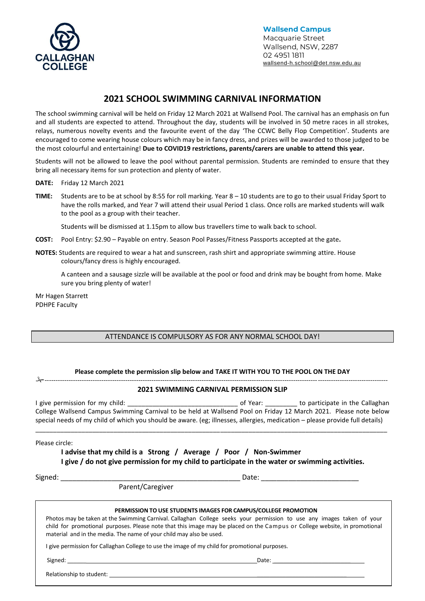

**Wallsend Campus** Macquarie Street Wallsend, NSW, 2287 02 4951 1811 [wallsend-h.school@det.nsw.edu.au](mailto:wallsend-h.school@det.nsw.edu.au)

# **2021 SCHOOL SWIMMING CARNIVAL INFORMATION**

The school swimming carnival will be held on Friday 12 March 2021 at Wallsend Pool. The carnival has an emphasis on fun and all students are expected to attend. Throughout the day, students will be involved in 50 metre races in all strokes, relays, numerous novelty events and the favourite event of the day 'The CCWC Belly Flop Competition'. Students are encouraged to come wearing house colours which may be in fancy dress, and prizes will be awarded to those judged to be the most colourful and entertaining! **Due to COVID19 restrictions, parents/carers are unable to attend this year.**

Students will not be allowed to leave the pool without parental permission. Students are reminded to ensure that they bring all necessary items for sun protection and plenty of water.

- **DATE:** Friday 12 March 2021
- **TIME:** Students are to be at school by 8:55 for roll marking. Year 8 10 students are to go to their usual Friday Sport to have the rolls marked, and Year 7 will attend their usual Period 1 class. Once rolls are marked students will walk to the pool as a group with their teacher.

Students will be dismissed at 1.15pm to allow bus travellers time to walk back to school.

- **COST:** Pool Entry: \$2.90 Payable on entry. Season Pool Passes/Fitness Passports accepted at the gate**.**
- **NOTES:** Students are required to wear a hat and sunscreen, rash shirt and appropriate swimming attire. House colours/fancy dress is highly encouraged.

A canteen and a sausage sizzle will be available at the pool or food and drink may be bought from home. Make sure you bring plenty of water!

Mr Hagen Starrett PDHPE Faculty

## ATTENDANCE IS COMPULSORY AS FOR ANY NORMAL SCHOOL DAY!

#### **Please complete the permission slip below and TAKE IT WITH YOU TO THE POOL ON THE DAY** -------------------------------------------------------------------------------------------------------------------------------------------------------------

### **2021 SWIMMING CARNIVAL PERMISSION SLIP**

I give permission for my child:  $\overline{a}$  and  $\overline{a}$  of Year:  $\overline{a}$  to participate in the Callaghan College Wallsend Campus Swimming Carnival to be held at Wallsend Pool on Friday 12 March 2021. Please note below special needs of my child of which you should be aware. (eg; illnesses, allergies, medication – please provide full details)

\_\_\_\_\_\_\_\_\_\_\_\_\_\_\_\_\_\_\_\_\_\_\_\_\_\_\_\_\_\_\_\_\_\_\_\_\_\_\_\_\_\_\_\_\_\_\_\_\_\_\_\_\_\_\_\_\_\_\_\_\_\_\_\_\_\_\_\_\_\_\_\_\_\_\_\_\_\_\_\_\_\_\_\_\_\_\_\_\_\_\_\_\_\_\_\_\_\_\_

Please circle:

**I advise that my child is a Strong / Average / Poor / Non-Swimmer I give / do not give permission for my child to participate in the water or swimming activities.**

Signed: \_\_\_\_\_\_\_\_\_\_\_\_\_\_\_\_\_\_\_\_\_\_\_\_\_\_\_\_\_\_\_\_\_\_\_\_\_\_\_\_\_\_\_\_\_\_ Date: \_\_\_\_\_\_\_\_\_\_\_\_\_\_\_\_\_\_\_\_\_\_\_\_\_

Parent/Caregiver

**PERMISSION TO USE STUDENTS IMAGES FOR CAMPUS/COLLEGE PROMOTION**

Photos may be taken at the Swimming Carnival. Callaghan College seeks your permission to use any images taken of your child for promotional purposes. Please note that this image may be placed on the Campus or College website, in promotional material and in the media. The name of your child may also be used.

I give permission for Callaghan College to use the image of my child for promotional purposes.

Signed: \_\_\_\_\_\_ Date: \_\_\_\_\_\_\_\_\_\_\_\_\_\_\_\_\_\_\_\_\_\_\_\_

Relationship to student: \_\_\_\_\_\_\_\_\_\_\_\_\_\_\_\_\_\_\_\_\_\_\_\_\_\_\_\_